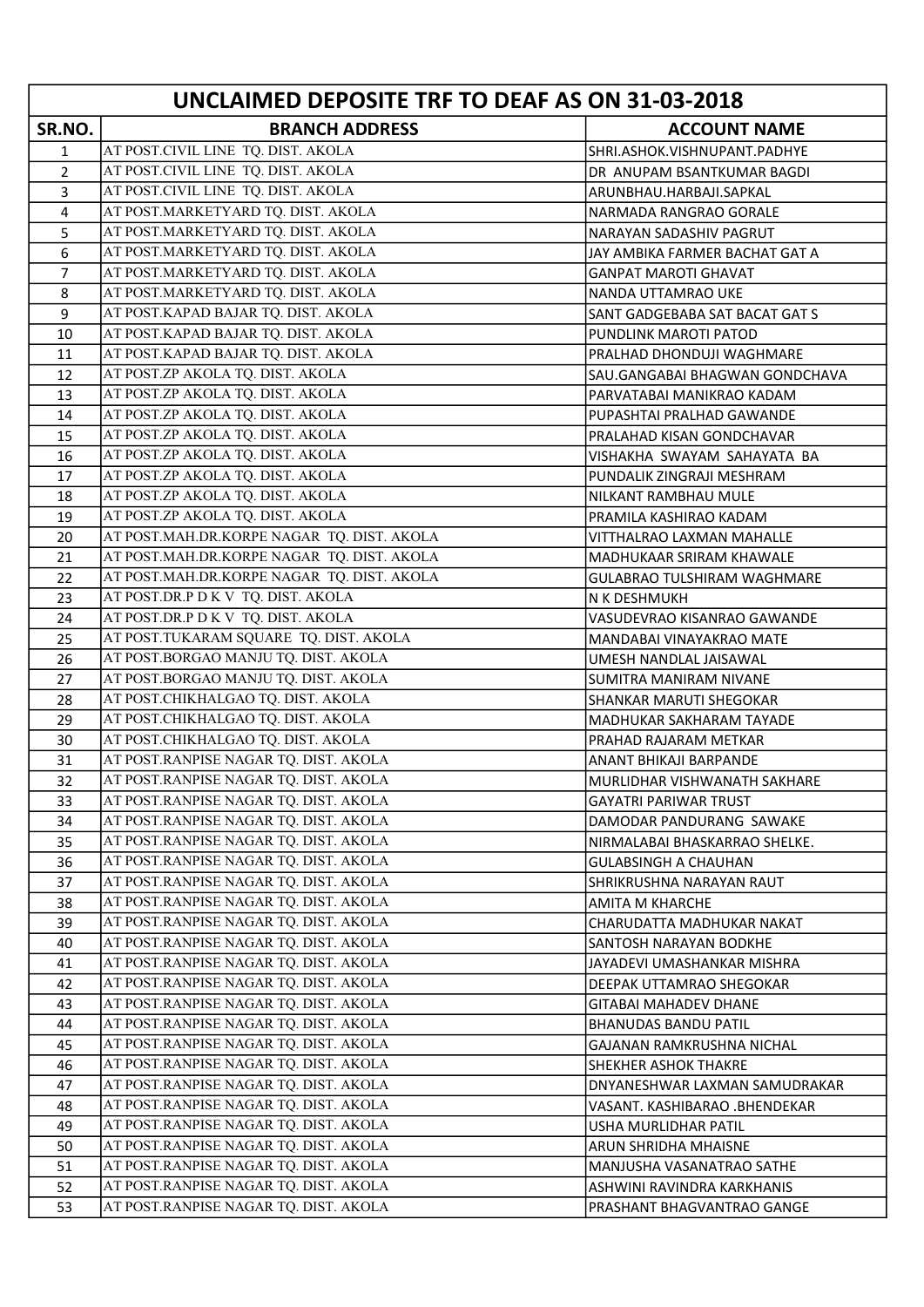| UNCLAIMED DEPOSITE TRF TO DEAF AS ON 31-03-2018 |                                                                          |                                                        |
|-------------------------------------------------|--------------------------------------------------------------------------|--------------------------------------------------------|
| SR.NO.                                          | <b>BRANCH ADDRESS</b>                                                    | <b>ACCOUNT NAME</b>                                    |
| 1                                               | AT POST.CIVIL LINE TQ. DIST. AKOLA                                       | SHRI.ASHOK.VISHNUPANT.PADHYE                           |
| $\overline{2}$                                  | AT POST.CIVIL LINE TQ. DIST. AKOLA                                       | DR ANUPAM BSANTKUMAR BAGDI                             |
| 3                                               | AT POST.CIVIL LINE TQ. DIST. AKOLA                                       | ARUNBHAU.HARBAJI.SAPKAL                                |
| 4                                               | AT POST.MARKETYARD TQ. DIST. AKOLA                                       | NARMADA RANGRAO GORALE                                 |
| 5                                               | AT POST.MARKETYARD TQ. DIST. AKOLA                                       | NARAYAN SADASHIV PAGRUT                                |
| 6                                               | AT POST.MARKETYARD TQ. DIST. AKOLA                                       | JAY AMBIKA FARMER BACHAT GAT A                         |
| $\overline{7}$                                  | AT POST.MARKETYARD TQ. DIST. AKOLA                                       | <b>GANPAT MAROTI GHAVAT</b>                            |
| 8                                               | AT POST.MARKETYARD TQ. DIST. AKOLA                                       | NANDA UTTAMRAO UKE                                     |
| 9                                               | AT POST.KAPAD BAJAR TQ. DIST. AKOLA                                      | SANT GADGEBABA SAT BACAT GAT S                         |
| 10                                              | AT POST.KAPAD BAJAR TQ. DIST. AKOLA                                      | PUNDLINK MAROTI PATOD                                  |
| 11                                              | AT POST.KAPAD BAJAR TQ. DIST. AKOLA                                      | PRALHAD DHONDUJI WAGHMARE                              |
| 12                                              | AT POST.ZP AKOLA TQ. DIST. AKOLA                                         | SAU.GANGABAI BHAGWAN GONDCHAVA                         |
| 13                                              | AT POST.ZP AKOLA TQ. DIST. AKOLA                                         | PARVATABAI MANIKRAO KADAM                              |
| 14                                              | AT POST.ZP AKOLA TQ. DIST. AKOLA                                         | PUPASHTAI PRALHAD GAWANDE                              |
| 15                                              | AT POST.ZP AKOLA TQ. DIST. AKOLA                                         | PRALAHAD KISAN GONDCHAVAR                              |
| 16                                              | AT POST.ZP AKOLA TQ. DIST. AKOLA                                         | VISHAKHA SWAYAM SAHAYATA BA                            |
| 17                                              | AT POST.ZP AKOLA TQ. DIST. AKOLA                                         | PUNDALIK ZINGRAJI MESHRAM                              |
| 18                                              | AT POST.ZP AKOLA TQ. DIST. AKOLA                                         | NILKANT RAMBHAU MULE                                   |
| 19                                              | AT POST.ZP AKOLA TQ. DIST. AKOLA                                         | PRAMILA KASHIRAO KADAM                                 |
| 20                                              | AT POST.MAH.DR.KORPE NAGAR TQ. DIST. AKOLA                               | VITTHALRAO LAXMAN MAHALLE                              |
| 21                                              | AT POST.MAH.DR.KORPE NAGAR TQ. DIST. AKOLA                               | MADHUKAAR SRIRAM KHAWALE                               |
| 22                                              | AT POST.MAH.DR.KORPE NAGAR TQ. DIST. AKOLA                               | <b>GULABRAO TULSHIRAM WAGHMARE</b>                     |
| 23                                              | AT POST.DR.P D K V TQ. DIST. AKOLA                                       | N K DESHMUKH                                           |
| 24                                              | AT POST.DR.P D K V TQ. DIST. AKOLA                                       | VASUDEVRAO KISANRAO GAWANDE                            |
| 25                                              | AT POST.TUKARAM SQUARE TQ. DIST. AKOLA                                   | MANDABAI VINAYAKRAO MATE                               |
| 26                                              | AT POST.BORGAO MANJU TQ. DIST. AKOLA                                     | UMESH NANDLAL JAISAWAL                                 |
| 27                                              | AT POST.BORGAO MANJU TQ. DIST. AKOLA                                     | SUMITRA MANIRAM NIVANE                                 |
| 28                                              | AT POST.CHIKHALGAO TQ. DIST. AKOLA                                       | SHANKAR MARUTI SHEGOKAR                                |
| 29                                              | AT POST.CHIKHALGAO TQ. DIST. AKOLA<br>AT POST.CHIKHALGAO TQ. DIST. AKOLA | MADHUKAR SAKHARAM TAYADE                               |
| 30<br>31                                        | AT POST.RANPISE NAGAR TQ. DIST. AKOLA                                    | PRAHAD RAJARAM METKAR                                  |
| 32                                              | AT POST.RANPISE NAGAR TQ. DIST. AKOLA                                    | ANANT BHIKAJI BARPANDE<br>MURLIDHAR VISHWANATH SAKHARE |
| 33                                              | AT POST.RANPISE NAGAR TQ. DIST. AKOLA                                    | <b>GAYATRI PARIWAR TRUST</b>                           |
| 34                                              | AT POST.RANPISE NAGAR TQ. DIST. AKOLA                                    | DAMODAR PANDURANG SAWAKE                               |
| 35                                              | AT POST.RANPISE NAGAR TQ. DIST. AKOLA                                    | NIRMALABAI BHASKARRAO SHELKE.                          |
| 36                                              | AT POST.RANPISE NAGAR TQ. DIST. AKOLA                                    | <b>GULABSINGH A CHAUHAN</b>                            |
| 37                                              | AT POST.RANPISE NAGAR TQ. DIST. AKOLA                                    | SHRIKRUSHNA NARAYAN RAUT                               |
| 38                                              | AT POST.RANPISE NAGAR TQ. DIST. AKOLA                                    | <b>AMITA M KHARCHE</b>                                 |
| 39                                              | AT POST.RANPISE NAGAR TQ. DIST. AKOLA                                    | CHARUDATTA MADHUKAR NAKAT                              |
| 40                                              | AT POST.RANPISE NAGAR TQ. DIST. AKOLA                                    | SANTOSH NARAYAN BODKHE                                 |
| 41                                              | AT POST.RANPISE NAGAR TQ. DIST. AKOLA                                    | JAYADEVI UMASHANKAR MISHRA                             |
| 42                                              | AT POST.RANPISE NAGAR TQ. DIST. AKOLA                                    | DEEPAK UTTAMRAO SHEGOKAR                               |
| 43                                              | AT POST.RANPISE NAGAR TQ. DIST. AKOLA                                    | GITABAI MAHADEV DHANE                                  |
| 44                                              | AT POST.RANPISE NAGAR TQ. DIST. AKOLA                                    | <b>BHANUDAS BANDU PATIL</b>                            |
| 45                                              | AT POST.RANPISE NAGAR TQ. DIST. AKOLA                                    | GAJANAN RAMKRUSHNA NICHAL                              |
| 46                                              | AT POST.RANPISE NAGAR TQ. DIST. AKOLA                                    | <b>SHEKHER ASHOK THAKRE</b>                            |
| 47                                              | AT POST.RANPISE NAGAR TQ. DIST. AKOLA                                    | DNYANESHWAR LAXMAN SAMUDRAKAR                          |
| 48                                              | AT POST.RANPISE NAGAR TQ. DIST. AKOLA                                    | VASANT. KASHIBARAO .BHENDEKAR                          |
| 49                                              | AT POST.RANPISE NAGAR TQ. DIST. AKOLA                                    | USHA MURLIDHAR PATIL                                   |
| 50                                              | AT POST.RANPISE NAGAR TQ. DIST. AKOLA                                    | ARUN SHRIDHA MHAISNE                                   |
| 51                                              | AT POST.RANPISE NAGAR TQ. DIST. AKOLA                                    | MANJUSHA VASANATRAO SATHE                              |
| 52                                              | AT POST.RANPISE NAGAR TQ. DIST. AKOLA                                    | ASHWINI RAVINDRA KARKHANIS                             |
| 53                                              | AT POST.RANPISE NAGAR TQ. DIST. AKOLA                                    | PRASHANT BHAGVANTRAO GANGE                             |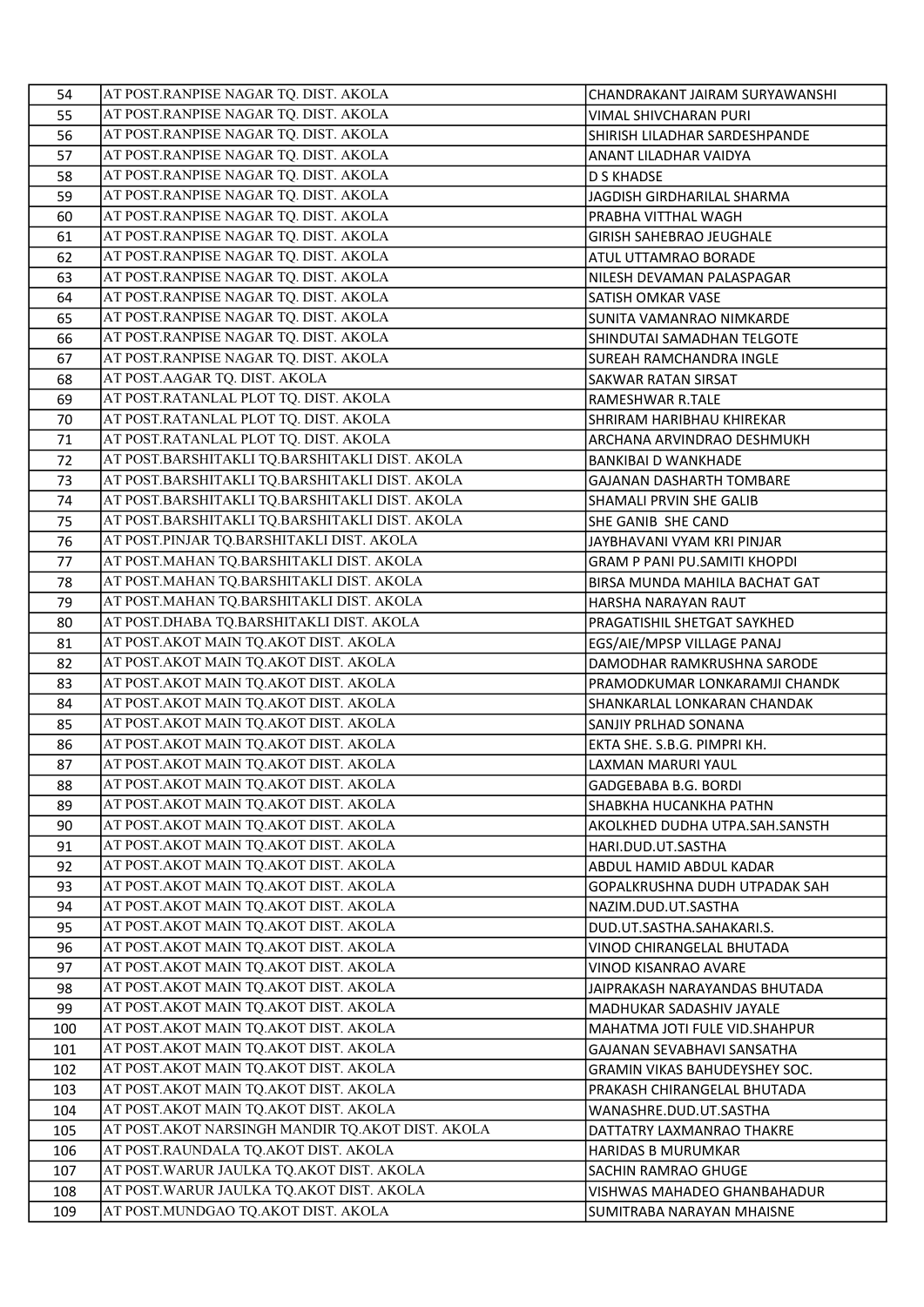| 54  | AT POST.RANPISE NAGAR TQ. DIST. AKOLA              | CHANDRAKANT JAIRAM SURYAWANSHI       |
|-----|----------------------------------------------------|--------------------------------------|
| 55  | AT POST.RANPISE NAGAR TQ. DIST. AKOLA              | VIMAL SHIVCHARAN PURI                |
| 56  | AT POST.RANPISE NAGAR TQ. DIST. AKOLA              | SHIRISH LILADHAR SARDESHPANDE        |
| 57  | AT POST.RANPISE NAGAR TQ. DIST. AKOLA              | ANANT LILADHAR VAIDYA                |
| 58  | AT POST.RANPISE NAGAR TQ. DIST. AKOLA              | <b>D S KHADSE</b>                    |
| 59  | AT POST.RANPISE NAGAR TQ. DIST. AKOLA              | JAGDISH GIRDHARILAL SHARMA           |
| 60  | AT POST.RANPISE NAGAR TQ. DIST. AKOLA              | PRABHA VITTHAL WAGH                  |
| 61  | AT POST.RANPISE NAGAR TQ. DIST. AKOLA              | <b>GIRISH SAHEBRAO JEUGHALE</b>      |
| 62  | AT POST.RANPISE NAGAR TQ. DIST. AKOLA              | ATUL UTTAMRAO BORADE                 |
| 63  | AT POST.RANPISE NAGAR TQ. DIST. AKOLA              | NILESH DEVAMAN PALASPAGAR            |
| 64  | AT POST.RANPISE NAGAR TQ. DIST. AKOLA              | SATISH OMKAR VASE                    |
| 65  | AT POST.RANPISE NAGAR TQ. DIST. AKOLA              | SUNITA VAMANRAO NIMKARDE             |
| 66  | AT POST.RANPISE NAGAR TQ. DIST. AKOLA              | SHINDUTAI SAMADHAN TELGOTE           |
| 67  | AT POST.RANPISE NAGAR TQ. DIST. AKOLA              | SUREAH RAMCHANDRA INGLE              |
| 68  | AT POST.AAGAR TQ. DIST. AKOLA                      | SAKWAR RATAN SIRSAT                  |
| 69  | AT POST.RATANLAL PLOT TQ. DIST. AKOLA              | RAMESHWAR R.TALE                     |
| 70  | AT POST.RATANLAL PLOT TQ. DIST. AKOLA              | SHRIRAM HARIBHAU KHIREKAR            |
| 71  | AT POST.RATANLAL PLOT TQ. DIST. AKOLA              | ARCHANA ARVINDRAO DESHMUKH           |
| 72  | AT POST.BARSHITAKLI TQ.BARSHITAKLI DIST. AKOLA     | <b>BANKIBAI D WANKHADE</b>           |
| 73  | AT POST.BARSHITAKLI TQ.BARSHITAKLI DIST. AKOLA     | GAJANAN DASHARTH TOMBARE             |
| 74  | AT POST.BARSHITAKLI TQ.BARSHITAKLI DIST. AKOLA     | SHAMALI PRVIN SHE GALIB              |
| 75  | AT POST.BARSHITAKLI TQ.BARSHITAKLI DIST. AKOLA     | SHE GANIB SHE CAND                   |
| 76  | AT POST.PINJAR TQ.BARSHITAKLI DIST. AKOLA          | JAYBHAVANI VYAM KRI PINJAR           |
| 77  | AT POST.MAHAN TQ.BARSHITAKLI DIST. AKOLA           | GRAM P PANI PU.SAMITI KHOPDI         |
| 78  | AT POST.MAHAN TQ.BARSHITAKLI DIST. AKOLA           | BIRSA MUNDA MAHILA BACHAT GAT        |
| 79  | AT POST.MAHAN TQ.BARSHITAKLI DIST. AKOLA           | HARSHA NARAYAN RAUT                  |
| 80  | AT POST.DHABA TQ.BARSHITAKLI DIST. AKOLA           | PRAGATISHIL SHETGAT SAYKHED          |
| 81  | AT POST. AKOT MAIN TQ. AKOT DIST. AKOLA            | EGS/AIE/MPSP VILLAGE PANAJ           |
| 82  | AT POST. AKOT MAIN TQ. AKOT DIST. AKOLA            | DAMODHAR RAMKRUSHNA SARODE           |
| 83  | AT POST. AKOT MAIN TQ. AKOT DIST. AKOLA            | PRAMODKUMAR LONKARAMJI CHANDK        |
| 84  | AT POST. AKOT MAIN TQ. AKOT DIST. AKOLA            | SHANKARLAL LONKARAN CHANDAK          |
| 85  | AT POST.AKOT MAIN TQ.AKOT DIST. AKOLA              | SANJIY PRLHAD SONANA                 |
| 86  | AT POST. AKOT MAIN TQ. AKOT DIST. AKOLA            | EKTA SHE. S.B.G. PIMPRI KH.          |
| 87  | AT POST. AKOT MAIN TQ. AKOT DIST. AKOLA            | LAXMAN MARURI YAUL                   |
| 88  | AT POST. AKOT MAIN TQ. AKOT DIST. AKOLA            | GADGEBABA B.G. BORDI                 |
| 89  | AT POST.AKOT MAIN TQ.AKOT DIST. AKOLA              | SHABKHA HUCANKHA PATHN               |
| 90  | AT POST. AKOT MAIN TQ. AKOT DIST. AKOLA            | AKOLKHED DUDHA UTPA.SAH.SANSTH       |
| 91  | AT POST. AKOT MAIN TQ. AKOT DIST. AKOLA            | HARI.DUD.UT.SASTHA                   |
| 92  | AT POST. AKOT MAIN TQ. AKOT DIST. AKOLA            | ABDUL HAMID ABDUL KADAR              |
| 93  | AT POST.AKOT MAIN TQ.AKOT DIST. AKOLA              | GOPALKRUSHNA DUDH UTPADAK SAH        |
| 94  | AT POST. AKOT MAIN TQ. AKOT DIST. AKOLA            | NAZIM.DUD.UT.SASTHA                  |
| 95  | AT POST.AKOT MAIN TQ.AKOT DIST. AKOLA              | DUD.UT.SASTHA.SAHAKARI.S.            |
| 96  | AT POST. AKOT MAIN TQ. AKOT DIST. AKOLA            | VINOD CHIRANGELAL BHUTADA            |
| 97  | AT POST. AKOT MAIN TQ. AKOT DIST. AKOLA            | VINOD KISANRAO AVARE                 |
| 98  | AT POST. AKOT MAIN TQ. AKOT DIST. AKOLA            | JAIPRAKASH NARAYANDAS BHUTADA        |
| 99  | AT POST.AKOT MAIN TQ.AKOT DIST. AKOLA              | MADHUKAR SADASHIV JAYALE             |
| 100 | AT POST. AKOT MAIN TQ. AKOT DIST. AKOLA            | MAHATMA JOTI FULE VID. SHAHPUR       |
| 101 | AT POST. AKOT MAIN TQ. AKOT DIST. AKOLA            | GAJANAN SEVABHAVI SANSATHA           |
| 102 | AT POST. AKOT MAIN TQ. AKOT DIST. AKOLA            | <b>GRAMIN VIKAS BAHUDEYSHEY SOC.</b> |
| 103 | AT POST. AKOT MAIN TQ. AKOT DIST. AKOLA            | PRAKASH CHIRANGELAL BHUTADA          |
| 104 | AT POST. AKOT MAIN TQ. AKOT DIST. AKOLA            | WANASHRE.DUD.UT.SASTHA               |
| 105 | AT POST. AKOT NARSINGH MANDIR TQ. AKOT DIST. AKOLA | DATTATRY LAXMANRAO THAKRE            |
| 106 | AT POST.RAUNDALA TQ.AKOT DIST. AKOLA               | <b>HARIDAS B MURUMKAR</b>            |
| 107 | AT POST. WARUR JAULKA TQ. AKOT DIST. AKOLA         | SACHIN RAMRAO GHUGE                  |
| 108 | AT POST. WARUR JAULKA TQ. AKOT DIST. AKOLA         | VISHWAS MAHADEO GHANBAHADUR          |
| 109 | AT POST.MUNDGAO TQ.AKOT DIST. AKOLA                | SUMITRABA NARAYAN MHAISNE            |
|     |                                                    |                                      |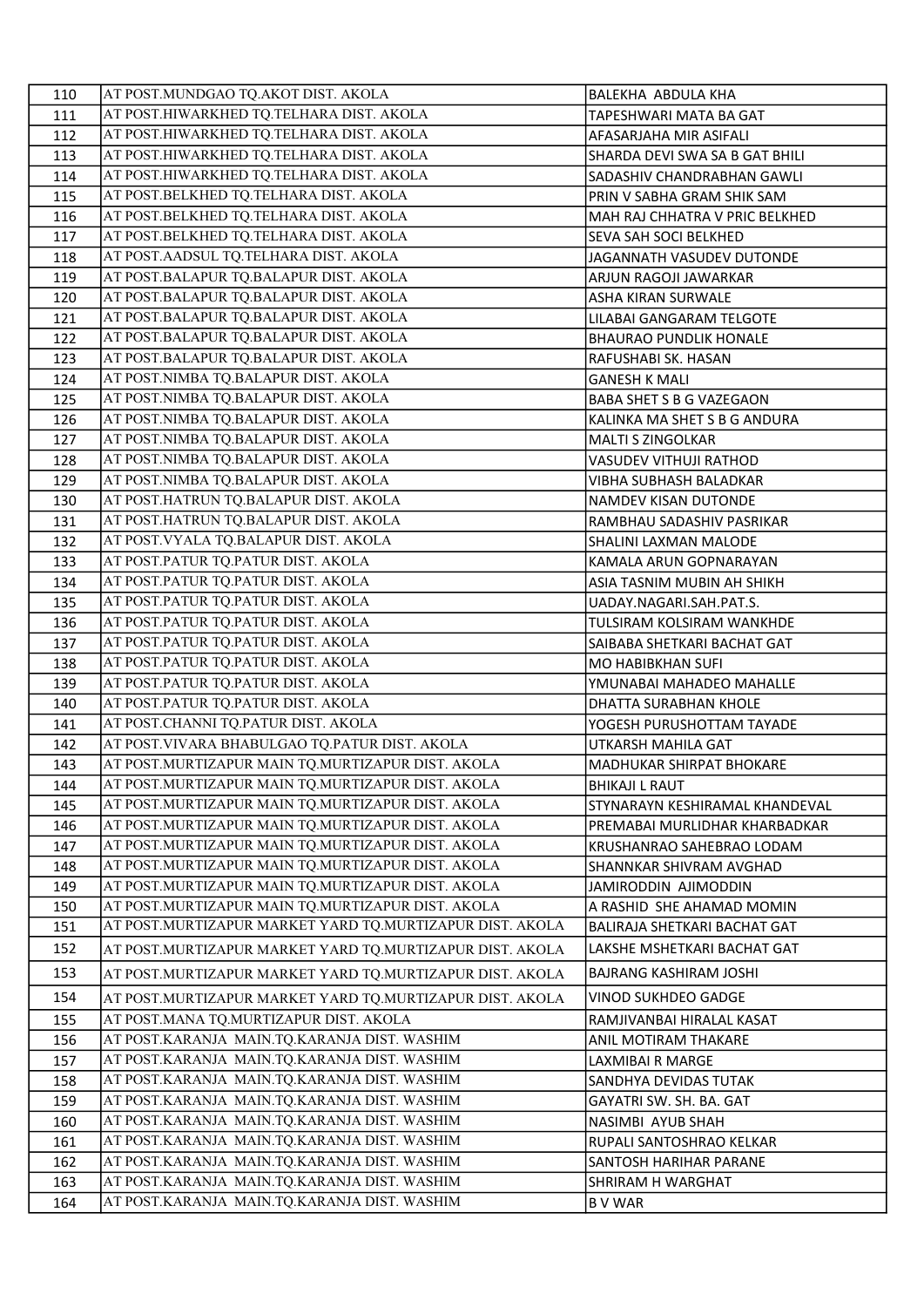| 110 | AT POST.MUNDGAO TQ.AKOT DIST. AKOLA                      | BALEKHA ABDULA KHA             |
|-----|----------------------------------------------------------|--------------------------------|
| 111 | AT POST.HIWARKHED TQ.TELHARA DIST. AKOLA                 | TAPESHWARI MATA BA GAT         |
| 112 | AT POST.HIWARKHED TQ.TELHARA DIST. AKOLA                 | AFASARJAHA MIR ASIFALI         |
| 113 | AT POST.HIWARKHED TQ.TELHARA DIST. AKOLA                 | SHARDA DEVI SWA SA B GAT BHILI |
| 114 | AT POST.HIWARKHED TQ.TELHARA DIST. AKOLA                 | SADASHIV CHANDRABHAN GAWLI     |
| 115 | AT POST.BELKHED TQ.TELHARA DIST. AKOLA                   | PRIN V SABHA GRAM SHIK SAM     |
| 116 | AT POST.BELKHED TQ.TELHARA DIST. AKOLA                   | MAH RAJ CHHATRA V PRIC BELKHED |
| 117 | AT POST.BELKHED TQ.TELHARA DIST. AKOLA                   | SEVA SAH SOCI BELKHED          |
| 118 | AT POST. AADSUL TQ. TELHARA DIST. AKOLA                  | JAGANNATH VASUDEV DUTONDE      |
| 119 | AT POST.BALAPUR TQ.BALAPUR DIST. AKOLA                   | ARJUN RAGOJI JAWARKAR          |
| 120 | AT POST.BALAPUR TQ.BALAPUR DIST. AKOLA                   | ASHA KIRAN SURWALE             |
| 121 | AT POST.BALAPUR TQ.BALAPUR DIST. AKOLA                   | LILABAI GANGARAM TELGOTE       |
| 122 | AT POST.BALAPUR TQ.BALAPUR DIST. AKOLA                   | <b>BHAURAO PUNDLIK HONALE</b>  |
| 123 | AT POST.BALAPUR TQ.BALAPUR DIST. AKOLA                   | RAFUSHABI SK. HASAN            |
| 124 | AT POST.NIMBA TQ.BALAPUR DIST. AKOLA                     | <b>GANESH K MALI</b>           |
| 125 | AT POST.NIMBA TQ.BALAPUR DIST. AKOLA                     | BABA SHET S B G VAZEGAON       |
| 126 | AT POST.NIMBA TQ.BALAPUR DIST. AKOLA                     | KALINKA MA SHET S B G ANDURA   |
| 127 | AT POST.NIMBA TQ.BALAPUR DIST. AKOLA                     | <b>MALTI S ZINGOLKAR</b>       |
| 128 | AT POST.NIMBA TQ.BALAPUR DIST. AKOLA                     | VASUDEV VITHUJI RATHOD         |
| 129 | AT POST.NIMBA TQ.BALAPUR DIST. AKOLA                     | VIBHA SUBHASH BALADKAR         |
| 130 | AT POST.HATRUN TQ.BALAPUR DIST. AKOLA                    | NAMDEV KISAN DUTONDE           |
| 131 | AT POST.HATRUN TQ.BALAPUR DIST. AKOLA                    | RAMBHAU SADASHIV PASRIKAR      |
| 132 | AT POST. VYALA TQ.BALAPUR DIST. AKOLA                    | SHALINI LAXMAN MALODE          |
| 133 | AT POST.PATUR TQ.PATUR DIST. AKOLA                       | KAMALA ARUN GOPNARAYAN         |
| 134 | AT POST.PATUR TQ.PATUR DIST. AKOLA                       | ASIA TASNIM MUBIN AH SHIKH     |
| 135 | AT POST.PATUR TQ.PATUR DIST. AKOLA                       | UADAY.NAGARI.SAH.PAT.S.        |
| 136 | AT POST.PATUR TQ.PATUR DIST. AKOLA                       | TULSIRAM KOLSIRAM WANKHDE      |
| 137 | AT POST.PATUR TQ.PATUR DIST. AKOLA                       | SAIBABA SHETKARI BACHAT GAT    |
| 138 | AT POST.PATUR TQ.PATUR DIST. AKOLA                       | MO HABIBKHAN SUFI              |
| 139 | AT POST.PATUR TQ.PATUR DIST. AKOLA                       | YMUNABAI MAHADEO MAHALLE       |
| 140 | AT POST.PATUR TQ.PATUR DIST. AKOLA                       | DHATTA SURABHAN KHOLE          |
| 141 | AT POST.CHANNI TQ.PATUR DIST. AKOLA                      | YOGESH PURUSHOTTAM TAYADE      |
| 142 | AT POST. VIVARA BHABULGAO TQ.PATUR DIST. AKOLA           | UTKARSH MAHILA GAT             |
| 143 | AT POST.MURTIZAPUR MAIN TQ.MURTIZAPUR DIST. AKOLA        | MADHUKAR SHIRPAT BHOKARE       |
| 144 | AT POST.MURTIZAPUR MAIN TQ.MURTIZAPUR DIST. AKOLA        | BHIKAJI L RAUT                 |
| 145 | AT POST.MURTIZAPUR MAIN TQ.MURTIZAPUR DIST. AKOLA        | STYNARAYN KESHIRAMAL KHANDEVAL |
| 146 | AT POST.MURTIZAPUR MAIN TQ.MURTIZAPUR DIST. AKOLA        | PREMABAI MURLIDHAR KHARBADKAR  |
| 147 | AT POST.MURTIZAPUR MAIN TQ.MURTIZAPUR DIST. AKOLA        | KRUSHANRAO SAHEBRAO LODAM      |
| 148 | AT POST.MURTIZAPUR MAIN TQ.MURTIZAPUR DIST. AKOLA        | SHANNKAR SHIVRAM AVGHAD        |
| 149 | AT POST.MURTIZAPUR MAIN TQ.MURTIZAPUR DIST. AKOLA        | JAMIRODDIN AJIMODDIN           |
| 150 | AT POST.MURTIZAPUR MAIN TQ.MURTIZAPUR DIST. AKOLA        | A RASHID SHE AHAMAD MOMIN      |
| 151 | AT POST.MURTIZAPUR MARKET YARD TQ.MURTIZAPUR DIST. AKOLA | BALIRAJA SHETKARI BACHAT GAT   |
| 152 | AT POST.MURTIZAPUR MARKET YARD TQ.MURTIZAPUR DIST. AKOLA | LAKSHE MSHETKARI BACHAT GAT    |
| 153 | AT POST.MURTIZAPUR MARKET YARD TQ.MURTIZAPUR DIST. AKOLA | <b>BAJRANG KASHIRAM JOSHI</b>  |
| 154 | AT POST.MURTIZAPUR MARKET YARD TQ.MURTIZAPUR DIST. AKOLA | VINOD SUKHDEO GADGE            |
| 155 | AT POST.MANA TQ.MURTIZAPUR DIST. AKOLA                   | RAMJIVANBAI HIRALAL KASAT      |
| 156 | AT POST.KARANJA MAIN.TQ.KARANJA DIST. WASHIM             | ANIL MOTIRAM THAKARE           |
| 157 | AT POST.KARANJA MAIN.TQ.KARANJA DIST. WASHIM             | LAXMIBAI R MARGE               |
| 158 | AT POST.KARANJA MAIN.TQ.KARANJA DIST. WASHIM             | SANDHYA DEVIDAS TUTAK          |
| 159 | AT POST.KARANJA MAIN.TQ.KARANJA DIST. WASHIM             | GAYATRI SW. SH. BA. GAT        |
| 160 | AT POST.KARANJA MAIN.TQ.KARANJA DIST. WASHIM             | NASIMBI AYUB SHAH              |
| 161 | AT POST.KARANJA MAIN.TQ.KARANJA DIST. WASHIM             | RUPALI SANTOSHRAO KELKAR       |
| 162 | AT POST.KARANJA MAIN.TQ.KARANJA DIST. WASHIM             | SANTOSH HARIHAR PARANE         |
| 163 | AT POST.KARANJA MAIN.TQ.KARANJA DIST. WASHIM             | SHRIRAM H WARGHAT              |
| 164 | AT POST.KARANJA MAIN.TQ.KARANJA DIST. WASHIM             | <b>BVWAR</b>                   |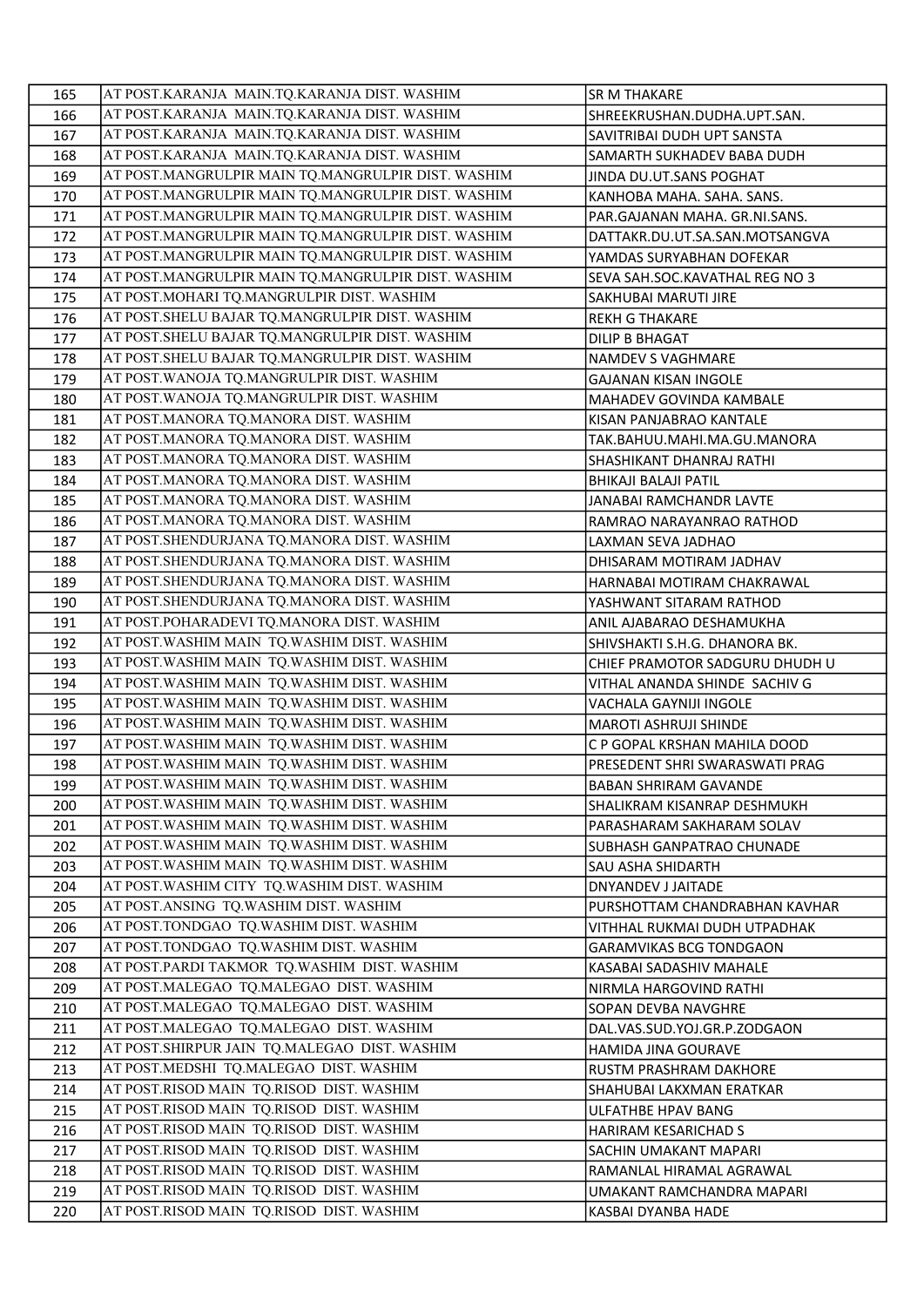| 165        | AT POST.KARANJA MAIN.TQ.KARANJA DIST. WASHIM       | <b>SR M THAKARE</b>            |
|------------|----------------------------------------------------|--------------------------------|
| 166        | AT POST.KARANJA MAIN.TQ.KARANJA DIST. WASHIM       | SHREEKRUSHAN.DUDHA.UPT.SAN.    |
| 167        | AT POST.KARANJA MAIN.TQ.KARANJA DIST. WASHIM       | SAVITRIBAI DUDH UPT SANSTA     |
| 168        | AT POST.KARANJA MAIN.TQ.KARANJA DIST. WASHIM       | SAMARTH SUKHADEV BABA DUDH     |
| 169        | AT POST.MANGRULPIR MAIN TQ.MANGRULPIR DIST. WASHIM | JINDA DU.UT.SANS POGHAT        |
| 170        | AT POST.MANGRULPIR MAIN TQ.MANGRULPIR DIST. WASHIM | KANHOBA MAHA. SAHA. SANS.      |
| 171        | AT POST.MANGRULPIR MAIN TQ.MANGRULPIR DIST. WASHIM | PAR.GAJANAN MAHA. GR.NI.SANS.  |
| 172        | AT POST.MANGRULPIR MAIN TQ.MANGRULPIR DIST. WASHIM | DATTAKR.DU.UT.SA.SAN.MOTSANGVA |
| 173        | AT POST.MANGRULPIR MAIN TQ.MANGRULPIR DIST. WASHIM | YAMDAS SURYABHAN DOFEKAR       |
| 174        | AT POST.MANGRULPIR MAIN TQ.MANGRULPIR DIST. WASHIM | SEVA SAH.SOC.KAVATHAL REG NO 3 |
| 175        | AT POST.MOHARI TQ.MANGRULPIR DIST. WASHIM          | SAKHUBAI MARUTI JIRE           |
| 176        | AT POST. SHELU BAJAR TQ.MANGRULPIR DIST. WASHIM    | <b>REKH G THAKARE</b>          |
| 177        | AT POST. SHELU BAJAR TQ.MANGRULPIR DIST. WASHIM    | <b>DILIP B BHAGAT</b>          |
| 178        | AT POST. SHELU BAJAR TQ.MANGRULPIR DIST. WASHIM    | NAMDEV S VAGHMARE              |
| 179        | AT POST. WANOJA TQ. MANGRULPIR DIST. WASHIM        | <b>GAJANAN KISAN INGOLE</b>    |
| 180        | AT POST. WANOJA TQ. MANGRULPIR DIST. WASHIM        | MAHADEV GOVINDA KAMBALE        |
| 181        | AT POST.MANORA TQ.MANORA DIST. WASHIM              | KISAN PANJABRAO KANTALE        |
| 182        | AT POST.MANORA TQ.MANORA DIST. WASHIM              | TAK.BAHUU.MAHI.MA.GU.MANORA    |
| 183        | AT POST.MANORA TQ.MANORA DIST. WASHIM              | SHASHIKANT DHANRAJ RATHI       |
| 184        | AT POST.MANORA TQ.MANORA DIST. WASHIM              | BHIKAJI BALAJI PATIL           |
| 185        | AT POST.MANORA TQ.MANORA DIST. WASHIM              | <b>JANABAI RAMCHANDR LAVTE</b> |
| 186        | AT POST.MANORA TQ.MANORA DIST. WASHIM              | RAMRAO NARAYANRAO RATHOD       |
| 187        | AT POST.SHENDURJANA TQ.MANORA DIST. WASHIM         | LAXMAN SEVA JADHAO             |
| 188        | AT POST. SHENDURJANA TQ. MANORA DIST. WASHIM       | DHISARAM MOTIRAM JADHAV        |
| 189        | AT POST. SHENDURJANA TQ. MANORA DIST. WASHIM       | HARNABAI MOTIRAM CHAKRAWAL     |
| 190        | AT POST. SHENDURJANA TQ.MANORA DIST. WASHIM        | YASHWANT SITARAM RATHOD        |
| 191        | AT POST.POHARADEVI TQ.MANORA DIST. WASHIM          | ANIL AJABARAO DESHAMUKHA       |
| 192        | AT POST. WASHIM MAIN TQ. WASHIM DIST. WASHIM       | SHIVSHAKTI S.H.G. DHANORA BK.  |
| 193        | AT POST. WASHIM MAIN TQ. WASHIM DIST. WASHIM       | CHIEF PRAMOTOR SADGURU DHUDH U |
| 194        | AT POST. WASHIM MAIN TQ. WASHIM DIST. WASHIM       | VITHAL ANANDA SHINDE SACHIV G  |
| 195        | AT POST. WASHIM MAIN TQ. WASHIM DIST. WASHIM       | VACHALA GAYNIJI INGOLE         |
| 196        | AT POST. WASHIM MAIN TQ. WASHIM DIST. WASHIM       | MAROTI ASHRUJI SHINDE          |
| 197        | AT POST. WASHIM MAIN TQ. WASHIM DIST. WASHIM       | C P GOPAL KRSHAN MAHILA DOOD   |
| 198        | AT POST. WASHIM MAIN TQ. WASHIM DIST. WASHIM       | PRESEDENT SHRI SWARASWATI PRAG |
| 199        | AT POST. WASHIM MAIN TQ. WASHIM DIST. WASHIM       | <b>BABAN SHRIRAM GAVANDE</b>   |
| 200        | AT POST. WASHIM MAIN TQ. WASHIM DIST. WASHIM       | SHALIKRAM KISANRAP DESHMUKH    |
| 201        | AT POST. WASHIM MAIN TQ. WASHIM DIST. WASHIM       | PARASHARAM SAKHARAM SOLAV      |
| 202        | AT POST. WASHIM MAIN TQ. WASHIM DIST. WASHIM       | SUBHASH GANPATRAO CHUNADE      |
|            | AT POST. WASHIM MAIN TO. WASHIM DIST. WASHIM       |                                |
| 203        | AT POST. WASHIM CITY TQ. WASHIM DIST. WASHIM       | SAU ASHA SHIDARTH              |
| 204<br>205 | AT POST. ANSING TQ. WASHIM DIST. WASHIM            | DNYANDEV J JAITADE             |
| 206        | AT POST.TONDGAO TQ.WASHIM DIST. WASHIM             | PURSHOTTAM CHANDRABHAN KAVHAR  |
| 207        | AT POST.TONDGAO TQ.WASHIM DIST. WASHIM             | VITHHAL RUKMAI DUDH UTPADHAK   |
| 208        | AT POST.PARDI TAKMOR TQ.WASHIM DIST. WASHIM        | <b>GARAMVIKAS BCG TONDGAON</b> |
| 209        | AT POST.MALEGAO TQ.MALEGAO DIST. WASHIM            | KASABAI SADASHIV MAHALE        |
| 210        | AT POST.MALEGAO TQ.MALEGAO DIST. WASHIM            | NIRMLA HARGOVIND RATHI         |
| 211        | AT POST.MALEGAO TQ.MALEGAO DIST. WASHIM            | SOPAN DEVBA NAVGHRE            |
|            | AT POST. SHIRPUR JAIN TQ. MALEGAO DIST. WASHIM     | DAL.VAS.SUD.YOJ.GR.P.ZODGAON   |
| 212<br>213 | AT POST.MEDSHI TQ.MALEGAO DIST. WASHIM             | HAMIDA JINA GOURAVE            |
|            | AT POST.RISOD MAIN TQ.RISOD DIST. WASHIM           | RUSTM PRASHRAM DAKHORE         |
| 214        | AT POST.RISOD MAIN TQ.RISOD DIST. WASHIM           | SHAHUBAI LAKXMAN ERATKAR       |
| 215        | AT POST.RISOD MAIN TQ.RISOD DIST. WASHIM           | ULFATHBE HPAV BANG             |
| 216        |                                                    | HARIRAM KESARICHAD S           |
| 217        | AT POST.RISOD MAIN TQ.RISOD DIST. WASHIM           | SACHIN UMAKANT MAPARI          |
| 218        | AT POST.RISOD MAIN TQ.RISOD DIST. WASHIM           | RAMANLAL HIRAMAL AGRAWAL       |
| 219        | AT POST.RISOD MAIN TQ.RISOD DIST. WASHIM           | UMAKANT RAMCHANDRA MAPARI      |
| 220        | AT POST.RISOD MAIN TQ.RISOD DIST. WASHIM           | KASBAI DYANBA HADE             |